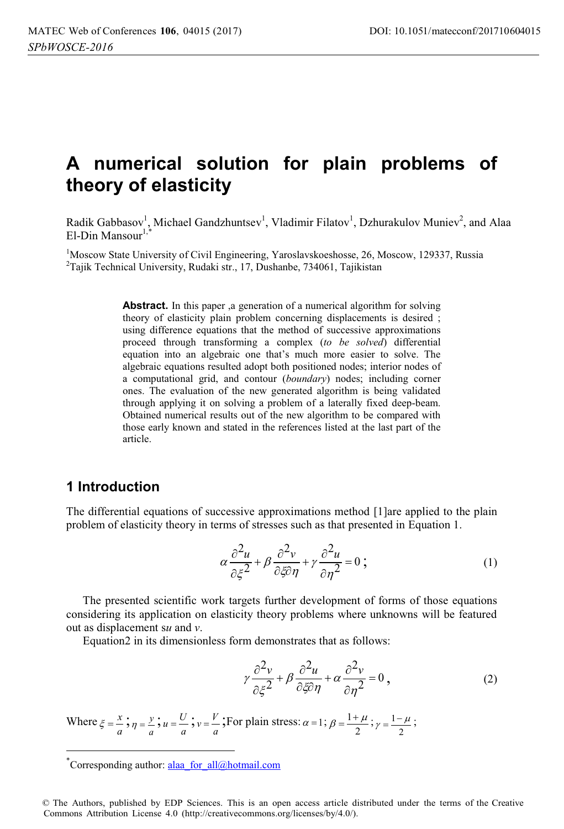# **A numerical solution for plain problems of theory of elasticity**

Radik Gabbasov<sup>1</sup>, Michael Gandzhuntsev<sup>1</sup>, Vladimir Filatov<sup>1</sup>, Dzhurakulov Muniev<sup>2</sup>, and Alaa  $E1$ -Din Mansour<sup>1,</sup>

<sup>1</sup>Moscow State University of Civil Engineering, Yaroslavskoeshosse, 26, Moscow, 129337, Russia<br><sup>2</sup>Tailk Technical University, Rudaki str. 17, Dushanbe, 734061, Tailkistan <sup>2</sup>Tajik Technical University, Rudaki str., 17, Dushanbe, 734061, Tajikistan

> Abstract. In this paper ,a generation of a numerical algorithm for solving theory of elasticity plain problem concerning displacements is desired ; using difference equations that the method of successive approximations proceed through transforming a complex (*to be solved*) differential equation into an algebraic one that's much more easier to solve. The algebraic equations resulted adopt both positioned nodes; interior nodes of a computational grid, and contour (*boundary*) nodes; including corner ones. The evaluation of the new generated algorithm is being validated through applying it on solving a problem of a laterally fixed deep-beam. Obtained numerical results out of the new algorithm to be compared with those early known and stated in the references listed at the last part of the article.

#### **1 Introduction**

 $\overline{a}$ 

The differential equations of successive approximations method [1] are applied to the plain problem of elasticity theory in terms of stresses such as that presented in Equation 1.

$$
\alpha \frac{\partial^2 u}{\partial \xi^2} + \beta \frac{\partial^2 v}{\partial \xi \partial \eta} + \gamma \frac{\partial^2 u}{\partial \eta^2} = 0 ; \qquad (1)
$$

The presented scientific work targets further development of forms of those equations considering its application on elasticity theory problems where unknowns will be featured out as displacement s*u* and *v*.

Equation2 in its dimensionless form demonstrates that as follows:

$$
\gamma \frac{\partial^2 v}{\partial \xi^2} + \beta \frac{\partial^2 u}{\partial \xi \partial \eta} + \alpha \frac{\partial^2 v}{\partial \eta^2} = 0,
$$
\n(2)

Where  $\xi = \frac{x}{a}$ ;  $\eta = \frac{y}{a}$ ;  $u = \frac{U}{a}$ ;  $v = \frac{V}{a}$ ; For plain stress:  $\alpha = 1$ ;  $\beta = \frac{1+2}{2}$  $\beta = \frac{1 + \mu}{2}$ ;  $\gamma = \frac{1 - \mu}{2}$  $\gamma = \frac{1 - \mu}{2}$ ;

<sup>\*</sup>Corresponding author: alaa\_for\_all@hotmail.com

<sup>©</sup> The Authors, published by EDP Sciences. This is an open access article distributed under the terms of the Creative Commons Attribution License 4.0 (http://creativecommons.org/licenses/by/4.0/).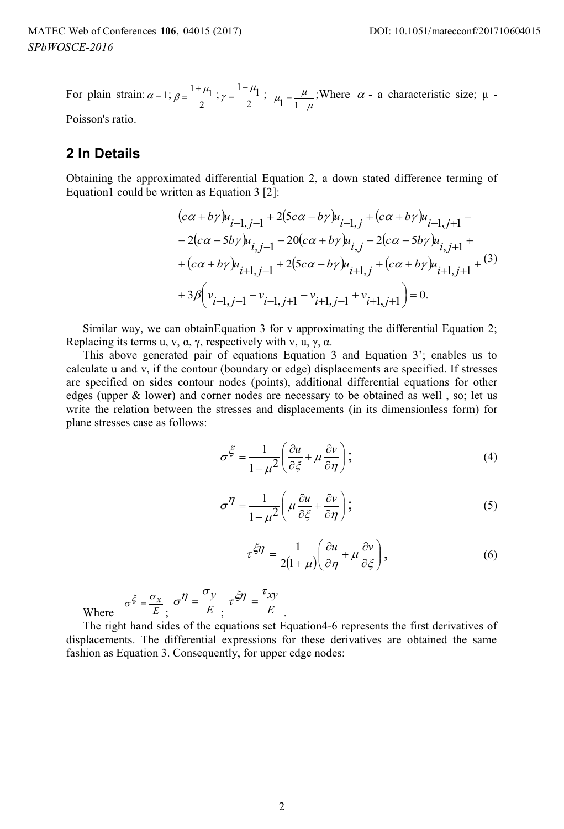For plain strain:  $\alpha = 1$ ;  $\beta = \frac{11}{2}$  $\beta = \frac{1 + \mu_1}{2}$ ;  $\gamma = \frac{1 - \mu_1}{2}$  $\gamma = \frac{1 - \mu_1}{2};$ μ  $\mu_1 = \frac{\mu}{1 - \mu}$ ;Where  $\alpha$  - a characteristic size;  $\mu$  -

Poisson's ratio.

### **2 In Details**

Obtaining the approximated differential Equation 2, a down stated difference terming of Equation1 could be written as Equation 3 [2]:

$$
(c\alpha + b\gamma)u_{i-1,j-1} + 2(5c\alpha - b\gamma)u_{i-1,j} + (c\alpha + b\gamma)u_{i-1,j+1} -- 2(c\alpha - 5b\gamma)u_{i,j-1} - 20(c\alpha + b\gamma)u_{i,j} - 2(c\alpha - 5b\gamma)u_{i,j+1} ++ (c\alpha + b\gamma)u_{i+1,j-1} + 2(5c\alpha - b\gamma)u_{i+1,j} + (c\alpha + b\gamma)u_{i+1,j+1} + (3)+ 3\beta \left(v_{i-1,j-1} - v_{i-1,j+1} - v_{i+1,j-1} + v_{i+1,j+1}\right) = 0.
$$

Similar way, we can obtainEquation 3 for v approximating the differential Equation 2; Replacing its terms u, v,  $\alpha$ ,  $\gamma$ , respectively with v, u,  $\gamma$ ,  $\alpha$ .

This above generated pair of equations Equation 3 and Equation 3'; enables us to calculate u and v, if the contour (boundary or edge) displacements are specified. If stresses are specified on sides contour nodes (points), additional differential equations for other edges (upper & lower) and corner nodes are necessary to be obtained as well , so; let us write the relation between the stresses and displacements (in its dimensionless form) for plane stresses case as follows:

$$
\sigma^{\xi} = \frac{1}{1 - \mu^2} \left( \frac{\partial u}{\partial \xi} + \mu \frac{\partial v}{\partial \eta} \right);
$$
\n(4)

$$
\sigma^{\eta} = \frac{1}{1 - \mu^2} \left( \mu \frac{\partial u}{\partial \xi} + \frac{\partial v}{\partial \eta} \right);
$$
 (5)

$$
\tau^{\xi\eta} = \frac{1}{2(1+\mu)} \left( \frac{\partial u}{\partial \eta} + \mu \frac{\partial v}{\partial \xi} \right),\tag{6}
$$

Where *E*  $\sigma^{\xi} = \frac{\sigma_x}{E}; \quad \sigma^{\eta} = \frac{\eta}{E}$ 

The right hand sides of the equations set Equation4-6 represents the first derivatives of displacements. The differential expressions for these derivatives are obtained the same fashion as Equation 3. Consequently, for upper edge nodes:

.

 $\sigma^{\eta} = \frac{\sigma_y}{E}$ ,  $\tau^{\xi \eta} = \frac{\tau_{xy}}{E}$ 

 $\tau^{\xi \eta} = \frac{\tau_{xy}}{\pi}$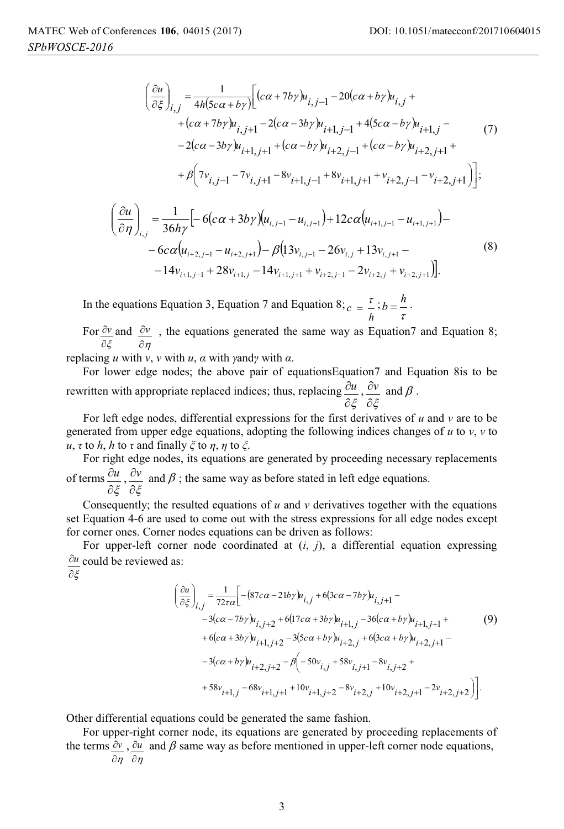$$
\left(\frac{\partial u}{\partial \xi}\right)_{i,j} = \frac{1}{4h(5c\alpha + b\gamma)} \left[ (c\alpha + 7b\gamma)u_{i,j-1} - 20(c\alpha + b\gamma)u_{i,j} + (c\alpha + 7b\gamma)u_{i,j+1} - 2(c\alpha - 3b\gamma)u_{i+1,j-1} + 4(5c\alpha - b\gamma)u_{i+1,j} - (7) - 2(c\alpha - 3b\gamma)u_{i+1,j+1} + (c\alpha - b\gamma)u_{i+2,j-1} + (c\alpha - b\gamma)u_{i+2,j+1} + (b\alpha - b\gamma)u_{i+2,j-1} - b\gamma u_{i+2,j+1} + (c\alpha - b\gamma)u_{i+2,j+1} - b\gamma u_{i+2,j-1} - b\gamma u_{i+2,j+1} \right]
$$
\n
$$
\left(\frac{\partial u}{\partial \eta}\right)_{i,j} = \frac{1}{36h\gamma} \left[ -6(c\alpha + 3b\gamma)u_{i,j-1} - u_{i,j+1} + 12c\alpha(u_{i+1,j-1} - u_{i+1,j+1}) - -6c\alpha(u_{i+2,j-1} - u_{i+2,j+1}) - \beta(13v_{i,j-1} - 26v_{i,j} + 13v_{i,j+1} - 4v_{i+1,j-1} + 28v_{i+1,j} - 14v_{i+1,j+1} + v_{i+2,j-1} - 2v_{i+2,j} + v_{i+2,j+1}) \right].
$$
\n(8)

In the equations Equation 3, Equation 7 and Equation 8;  $c = \frac{\tau}{h}$ ;  $b = \frac{h}{\tau}$ .

For дξ  $\frac{\partial v}{\partial x}$  and  $\partial \eta$  $\partial y$ , the equations generated the same way as Equation 7 and Equation 8;

replacing *u* with *v*, *v* with *u*, *α* with *γ*and*γ* with *α*.

For lower edge nodes; the above pair of equationsEquation7 and Equation 8is to be rewritten with appropriate replaced indices; thus, replacing дξ *u* , дξ  $\frac{\partial v}{\partial \rho}$  and  $\beta$  .

For left edge nodes, differential expressions for the first derivatives of *u* and *v* are to be generated from upper edge equations, adopting the following indices changes of *u* to *v*, *v* to *u*, *τ* to *h*, *h* to *τ* and finally *ξ* to *η*, *η* to *ξ*.

For right edge nodes, its equations are generated by proceeding necessary replacements of terms дξ *u* , дξ  $\frac{\partial v}{\partial x}$  and  $\beta$ ; the same way as before stated in left edge equations.

Consequently; the resulted equations of *u* and *v* derivatives together with the equations set Equation 4-6 are used to come out with the stress expressions for all edge nodes except for corner ones. Corner nodes equations can be driven as follows:

For upper-left corner node coordinated at (*i*, *j*), a differential equation expressing  $\partial \xi$  $\partial u$  could be reviewed as:

$$
\left(\frac{\partial u}{\partial \xi}\right)_{i,j} = \frac{1}{72\tau\alpha} \Big[ -(87c\alpha - 21b\gamma)u_{i,j} + 6(3c\alpha - 7b\gamma)u_{i,j+1} - 4(2c\alpha - 7b\gamma)u_{i,j+2} + 6(17c\alpha + 3b\gamma)u_{i+1,j} - 36(c\alpha + b\gamma)u_{i+1,j+1} + 6(c\alpha + 3b\gamma)u_{i+1,j+2} - 3(5c\alpha + b\gamma)u_{i+2,j} + 6(3c\alpha + b\gamma)u_{i+2,j+1} - 4(c\alpha + b\gamma)u_{i+2,j+2} - \beta(-50v_{i,j} + 58v_{i,j+1} - 8v_{i,j+2} + 58v_{i+1,j} - 68v_{i+1,j+1} + 10v_{i+1,j+2} - 8v_{i+2,j} + 10v_{i+2,j+1} - 2v_{i+2,j+2}) \Big].
$$
\n(9)

Other differential equations could be generated the same fashion.

For upper-right corner node, its equations are generated by proceeding replacements of the terms  $\partial v$ ,  $\partial u$  and  $\beta$  same way as before mentioned in upper-left corner node equations,  $\partial\eta$   $\partial\eta$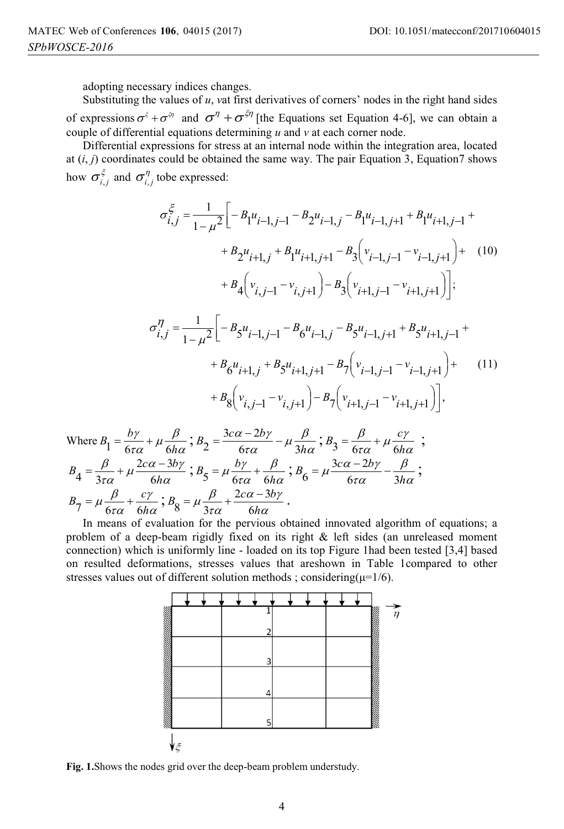adopting necessary indices changes.

Substituting the values of *u*, *v*at first derivatives of corners' nodes in the right hand sides of expressions  $\sigma^{\xi} + \sigma^{\xi\eta}$  and  $\sigma^{\eta} + \sigma^{\xi\eta}$  [the Equations set Equation 4-6], we can obtain a couple of differential equations determining *u* and *v* at each corner node.

Differential expressions for stress at an internal node within the integration area, located at  $(i, j)$  coordinates could be obtained the same way. The pair Equation 3, Equation 7 shows how  $\sigma_{i,j}^{\xi}$  and  $\sigma_{i,j}^{\eta}$  tobe expressed:

$$
\sigma_{i,j}^{\xi} = \frac{1}{1 - \mu^2} \Bigg[ -B_1 u_{i-1,j-1} - B_2 u_{i-1,j} - B_1 u_{i-1,j+1} + B_1 u_{i+1,j-1} +
$$
  
+ 
$$
B_2 u_{i+1,j} + B_1 u_{i+1,j+1} - B_3 \Big( v_{i-1,j-1} - v_{i-1,j+1} \Big) + (10)
$$
  
+ 
$$
B_4 \Big( v_{i,j-1} - v_{i,j+1} \Big) - B_3 \Big( v_{i+1,j-1} - v_{i+1,j+1} \Big) \Bigg];
$$
  

$$
\sigma_{i,j}^{\eta} = \frac{1}{1 - \mu^2} \Bigg[ -B_5 u_{i-1,j-1} - B_6 u_{i-1,j} - B_5 u_{i-1,j+1} + B_5 u_{i+1,j-1} +
$$
  
+ 
$$
B_6 u_{i+1,j} + B_5 u_{i+1,j+1} - B_7 \Big( v_{i-1,j-1} - v_{i-1,j+1} \Big) + (11)
$$
  
+ 
$$
B_8 \Big( v_{i,j-1} - v_{i,j+1} \Big) - B_7 \Big( v_{i+1,j-1} - v_{i+1,j+1} \Big) \Bigg],
$$
  

$$
\frac{b\gamma}{\xi} + \mu \frac{\beta}{\xi}, \beta_2 = \frac{3c\alpha - 2b\gamma}{\xi} - \mu \frac{\beta}{\xi}, \beta_3 = \frac{\beta}{\xi} + \mu \frac{c\gamma}{\xi},
$$

Where 
$$
B_1 = \frac{b\gamma}{6\tau\alpha} + \mu \frac{\beta}{6h\alpha}
$$
;  $B_2 = \frac{3c\alpha - 2b\gamma}{6\tau\alpha} - \mu \frac{\beta}{3h\alpha}$ ;  $B_3 = \frac{\beta}{6\tau\alpha} + \mu \frac{c\gamma}{6h\alpha}$ ;   
\n $B_4 = \frac{\beta}{3\tau\alpha} + \mu \frac{2c\alpha - 3b\gamma}{6h\alpha}$ ;  $B_5 = \mu \frac{b\gamma}{6\tau\alpha} + \frac{\beta}{6h\alpha}$ ;  $B_6 = \mu \frac{3c\alpha - 2b\gamma}{6\tau\alpha} - \frac{\beta}{3h\alpha}$ ;   
\n $B_7 = \mu \frac{\beta}{6\tau\alpha} + \frac{c\gamma}{6h\alpha}$ ;  $B_8 = \mu \frac{\beta}{3\tau\alpha} + \frac{2c\alpha - 3b\gamma}{6h\alpha}$ .

In means of evaluation for the pervious obtained innovated algorithm of equations; a problem of a deep-beam rigidly fixed on its right & left sides (an unreleased moment connection) which is uniformly line - loaded on its top Figure 1had been tested [3,4] based on resulted deformations, stresses values that areshown in Table 1compared to other stresses values out of different solution methods ; considering( $\mu$ =1/6).



**Fig. 1.**Shows the nodes grid over the deep-beam problem understudy.